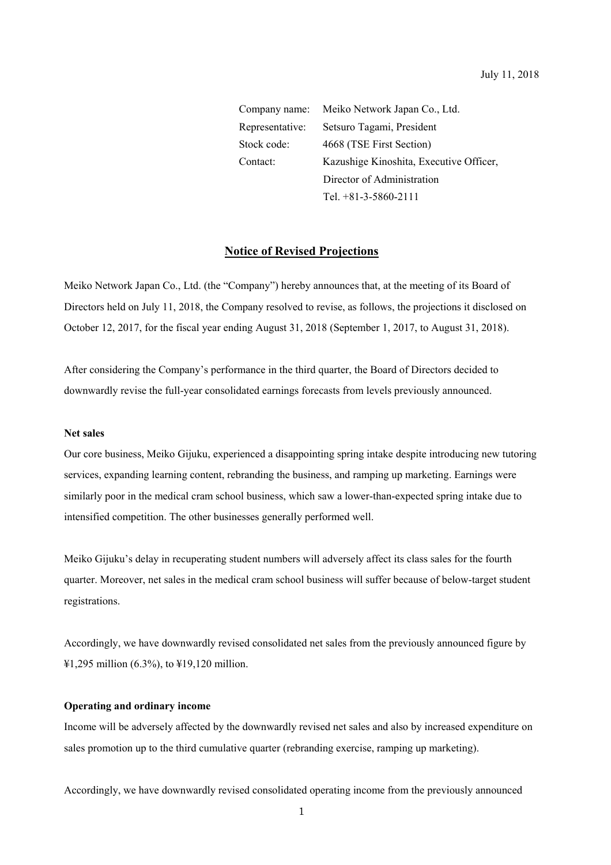Company name: Meiko Network Japan Co., Ltd. Representative: Setsuro Tagami, President Stock code: 4668 (TSE First Section) Contact: Kazushige Kinoshita, Executive Officer, Director of Administration Tel. +81-3-5860-2111

### **Notice of Revised Projections**

Meiko Network Japan Co., Ltd. (the "Company") hereby announces that, at the meeting of its Board of Directors held on July 11, 2018, the Company resolved to revise, as follows, the projections it disclosed on October 12, 2017, for the fiscal year ending August 31, 2018 (September 1, 2017, to August 31, 2018).

After considering the Company's performance in the third quarter, the Board of Directors decided to downwardly revise the full-year consolidated earnings forecasts from levels previously announced.

## **Net sales**

Our core business, Meiko Gijuku, experienced a disappointing spring intake despite introducing new tutoring services, expanding learning content, rebranding the business, and ramping up marketing. Earnings were similarly poor in the medical cram school business, which saw a lower-than-expected spring intake due to intensified competition. The other businesses generally performed well.

Meiko Gijuku's delay in recuperating student numbers will adversely affect its class sales for the fourth quarter. Moreover, net sales in the medical cram school business will suffer because of below-target student registrations.

Accordingly, we have downwardly revised consolidated net sales from the previously announced figure by ¥1,295 million (6.3%), to ¥19,120 million.

## **Operating and ordinary income**

Income will be adversely affected by the downwardly revised net sales and also by increased expenditure on sales promotion up to the third cumulative quarter (rebranding exercise, ramping up marketing).

Accordingly, we have downwardly revised consolidated operating income from the previously announced